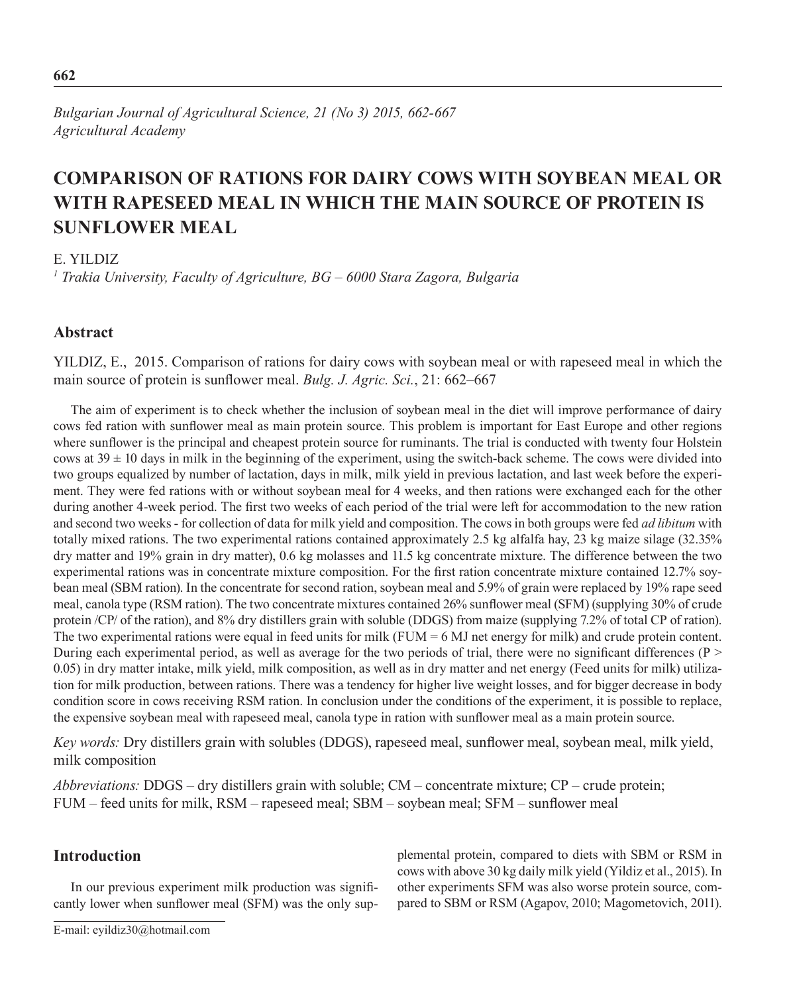*Bulgarian Journal of Agricultural Science, 21 (No 3) 2015, 662-667 Agricultural Academy*

# **COMPARISON OF RATIONS FOR DAIRY COWS WITH SOYBEAN MEAL OR WITH RAPESEED MEAL IN WHICH THE MAIN SOURCE OF PROTEIN IS SUNFLOWER MEAL**

## E. YILDIZ

*1 Trakia University, Faculty of Agriculture, BG – 6000 Stara Zagora, Bulgaria*

## **Abstract**

YILDIZ, E., 2015. Comparison of rations for dairy cows with soybean meal or with rapeseed meal in which the main source of protein is sunflower meal. *Bulg. J. Agric. Sci.*, 21: 662–667

The aim of experiment is to check whether the inclusion of soybean meal in the diet will improve performance of dairy cows fed ration with sunflower meal as main protein source. This problem is important for East Europe and other regions where sunflower is the principal and cheapest protein source for ruminants. The trial is conducted with twenty four Holstein cows at  $39 \pm 10$  days in milk in the beginning of the experiment, using the switch-back scheme. The cows were divided into two groups equalized by number of lactation, days in milk, milk yield in previous lactation, and last week before the experiment. They were fed rations with or without soybean meal for 4 weeks, and then rations were exchanged each for the other during another 4-week period. The first two weeks of each period of the trial were left for accommodation to the new ration and second two weeks - for collection of data for milk yield and composition. The cows in both groups were fed *ad libitum* with totally mixed rations. The two experimental rations contained approximately 2.5 kg alfalfa hay, 23 kg maize silage (32.35% dry matter and 19% grain in dry matter), 0.6 kg molasses and 11.5 kg concentrate mixture. The difference between the two experimental rations was in concentrate mixture composition. For the first ration concentrate mixture contained 12.7% soybean meal (SBM ration). In the concentrate for second ration, soybean meal and 5.9% of grain were replaced by 19% rape seed meal, canola type (RSM ration). The two concentrate mixtures contained 26% sunflower meal (SFM) (supplying 30% of crude protein /CP/ of the ration), and 8% dry distillers grain with soluble (DDGS) from maize (supplying 7.2% of total CP of ration). The two experimental rations were equal in feed units for milk  $(FUM = 6 MJ$  net energy for milk) and crude protein content. During each experimental period, as well as average for the two periods of trial, there were no significant differences (P > 0.05) in dry matter intake, milk yield, milk composition, as well as in dry matter and net energy (Feed units for milk) utilization for milk production, between rations. There was a tendency for higher live weight losses, and for bigger decrease in body condition score in cows receiving RSM ration. In conclusion under the conditions of the experiment, it is possible to replace, the expensive soybean meal with rapeseed meal, canola type in ration with sunflower meal as a main protein source.

*Key words:* Dry distillers grain with solubles (DDGS), rapeseed meal, sunflower meal, soybean meal, milk yield, milk composition

*Abbreviations:* DDGS – dry distillers grain with soluble; CM – concentrate mixture; CP – crude protein; FUM – feed units for milk, RSM – rapeseed meal; SBM – soybean meal; SFM – sunflower meal

# **Introduction**

In our previous experiment milk production was significantly lower when sunflower meal (SFM) was the only supplemental protein, compared to diets with SBM or RSM in cows with above 30 kg daily milk yield (Yildiz et al., 2015). In other experiments SFM was also worse protein source, compared to SBM or RSM (Agapov, 2010; Magometovich, 2011).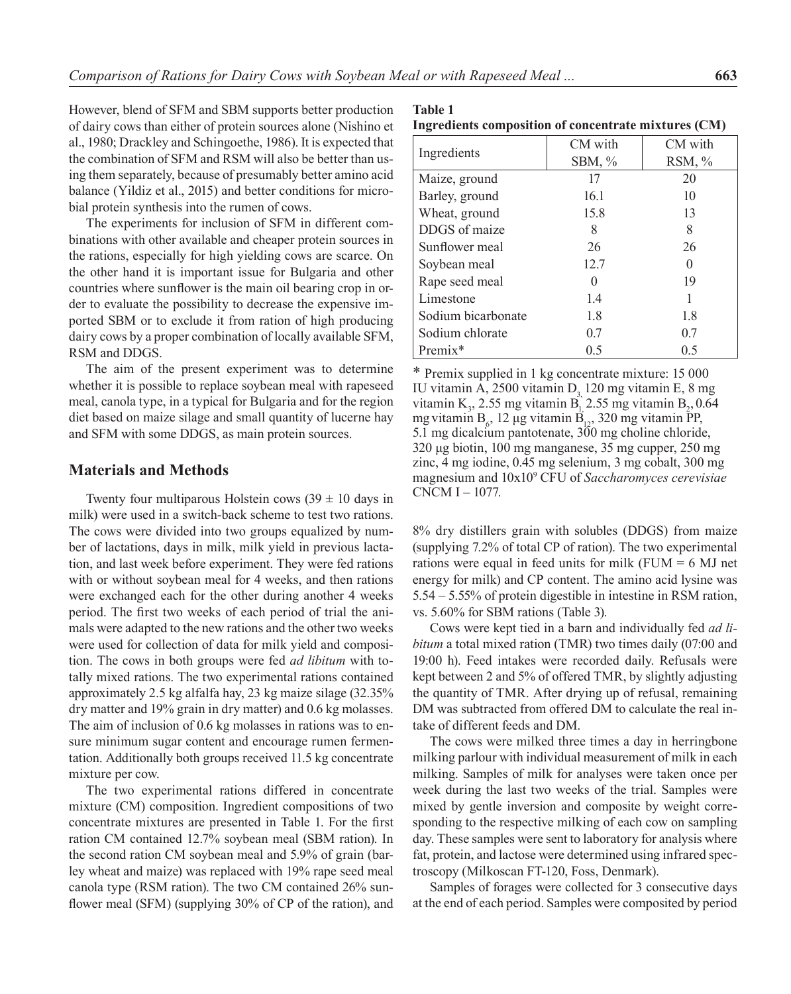However, blend of SFM and SBM supports better production of dairy cows than either of protein sources alone (Nishino et al., 1980; Drackley and Schingoethe, 1986). It is expected that the combination of SFM and RSM will also be better than using them separately, because of presumably better amino acid balance (Yildiz et al., 2015) and better conditions for microbial protein synthesis into the rumen of cows.

The experiments for inclusion of SFM in different combinations with other available and cheaper protein sources in the rations, especially for high yielding cows are scarce. On the other hand it is important issue for Bulgaria and other countries where sunflower is the main oil bearing crop in order to evaluate the possibility to decrease the expensive imported SBM or to exclude it from ration of high producing dairy cows by a proper combination of locally available SFM, RSM and DDGS.

The aim of the present experiment was to determine whether it is possible to replace soybean meal with rapeseed meal, canola type, in a typical for Bulgaria and for the region diet based on maize silage and small quantity of lucerne hay and SFM with some DDGS, as main protein sources.

## **Materials and Methods**

Twenty four multiparous Holstein cows  $(39 \pm 10)$  days in milk) were used in a switch-back scheme to test two rations. The cows were divided into two groups equalized by number of lactations, days in milk, milk yield in previous lactation, and last week before experiment. They were fed rations with or without soybean meal for 4 weeks, and then rations were exchanged each for the other during another 4 weeks period. The first two weeks of each period of trial the animals were adapted to the new rations and the other two weeks were used for collection of data for milk yield and composition. The cows in both groups were fed *ad libitum* with totally mixed rations. The two experimental rations contained approximately 2.5 kg alfalfa hay, 23 kg maize silage (32.35% dry matter and 19% grain in dry matter) and 0.6 kg molasses. The aim of inclusion of 0.6 kg molasses in rations was to ensure minimum sugar content and encourage rumen fermentation. Additionally both groups received 11.5 kg concentrate mixture per cow.

The two experimental rations differed in concentrate mixture (CM) composition. Ingredient compositions of two concentrate mixtures are presented in Table 1. For the first ration CM contained 12.7% soybean meal (SBM ration). In the second ration CM soybean meal and 5.9% of grain (barley wheat and maize) was replaced with 19% rape seed meal canola type (RSM ration). The two CM contained 26% sunflower meal (SFM) (supplying 30% of CP of the ration), and

#### **Table 1 Ingredients composition of concentrate mixtures (CM)**

|                    | CM with      | CM with  |  |  |
|--------------------|--------------|----------|--|--|
| Ingredients        | SBM, $%$     | RSM, $%$ |  |  |
| Maize, ground      | 17           | 20       |  |  |
| Barley, ground     | 16.1         | 10       |  |  |
| Wheat, ground      | 15.8         | 13       |  |  |
| DDGS of maize      | 8            | 8        |  |  |
| Sunflower meal     | 26           | 26       |  |  |
| Soybean meal       | 12.7         | $\Omega$ |  |  |
| Rape seed meal     | $\mathbf{0}$ | 19       |  |  |
| Limestone          | 1.4          | 1        |  |  |
| Sodium bicarbonate | 1.8          | 1.8      |  |  |
| Sodium chlorate    | 0.7          | 0.7      |  |  |
| Premix*            | 0.5          | 0.5      |  |  |

\* Premix supplied in 1 kg concentrate mixture: 15 000 IU vitamin A, 2500 vitamin  $D<sub>2</sub>$  120 mg vitamin E, 8 mg vitamin K<sub>3</sub>, 2.55 mg vitamin B<sub>1</sub> 2.55 mg vitamin B<sub>2</sub>, 0.64 mg vitamin B<sub>6</sub>, 12 μg vitamin B<sub>12</sub>, 320 mg vitamin PP, 5.1 mg dicalcium pantotenate, 300 mg choline chloride, 320 μg biotin, 100 mg manganese, 35 mg cupper, 250 mg zinc, 4 mg iodine, 0.45 mg selenium, 3 mg cobalt, 300 mg magnesium and 10x10<sup>9</sup> CFU of *Saccharomyces cerevisiae* CNCM I – 1077.

8% dry distillers grain with solubles (DDGS) from maize (supplying 7.2% of total CP of ration). The two experimental rations were equal in feed units for milk (FUM = 6 MJ net energy for milk) and CP content. The amino acid lysine was 5.54 – 5.55% of protein digestible in intestine in RSM ration, vs. 5.60% for SBM rations (Table 3).

Cows were kept tied in a barn and individually fed *ad libitum* a total mixed ration (TMR) two times daily (07:00 and 19:00 h). Feed intakes were recorded daily. Refusals were kept between 2 and 5% of offered TMR, by slightly adjusting the quantity of TMR. After drying up of refusal, remaining DM was subtracted from offered DM to calculate the real intake of different feeds and DM.

The cows were milked three times a day in herringbone milking parlour with individual measurement of milk in each milking. Samples of milk for analyses were taken once per week during the last two weeks of the trial. Samples were mixed by gentle inversion and composite by weight corresponding to the respective milking of each cow on sampling day. These samples were sent to laboratory for analysis where fat, protein, and lactose were determined using infrared spectroscopy (Milkoscan FT-120, Foss, Denmark).

Samples of forages were collected for 3 consecutive days at the end of each period. Samples were composited by period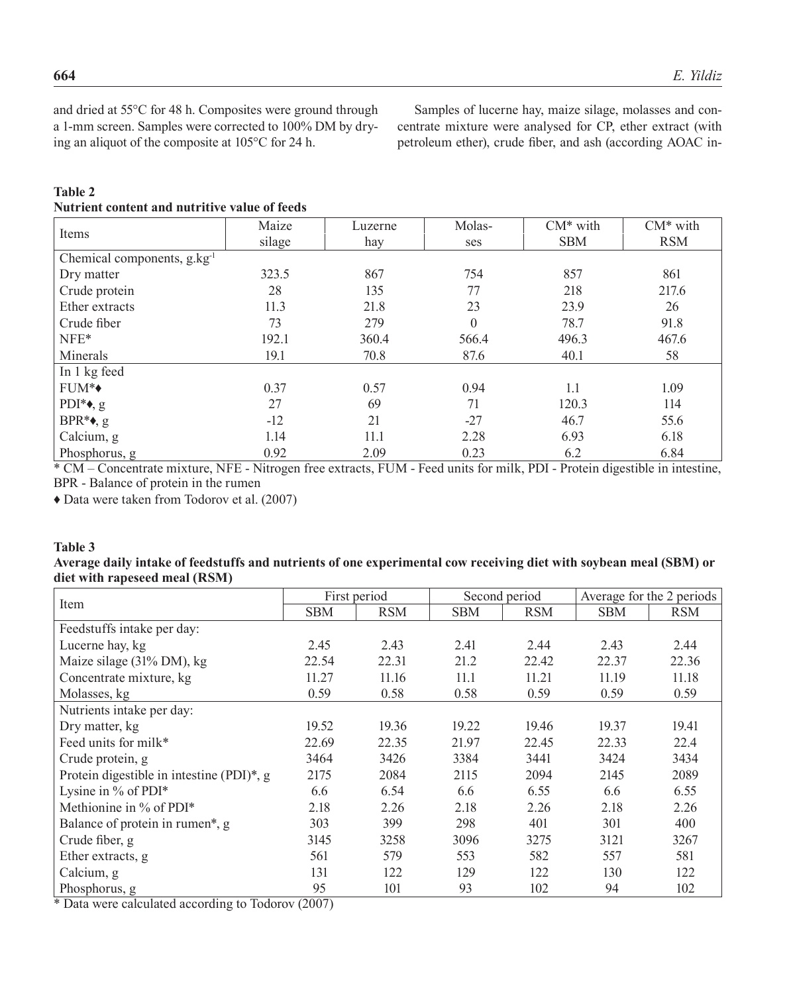and dried at 55°C for 48 h. Composites were ground through a 1-mm screen. Samples were corrected to 100% DM by drying an aliquot of the composite at 105°C for 24 h.

Samples of lucerne hay, maize silage, molasses and concentrate mixture were analysed for CP, ether extract (with petroleum ether), crude fiber, and ash (according AOAC in-

### **Table 2 Nutrient content and nutritive value of feeds**

| Items                                                              | Maize               | Luzerne | Molas-                           | $CM^*$ with                           | $CM^*$ with                                          |  |
|--------------------------------------------------------------------|---------------------|---------|----------------------------------|---------------------------------------|------------------------------------------------------|--|
|                                                                    | silage              | hay     | ses                              | <b>SBM</b>                            | <b>RSM</b>                                           |  |
| Chemical components, $g_{\cdot}kg^{-1}$                            |                     |         |                                  |                                       |                                                      |  |
| Dry matter                                                         | 323.5               | 867     | 754                              | 857                                   | 861                                                  |  |
| Crude protein                                                      | 28                  | 135     | 77                               | 218                                   | 217.6                                                |  |
| Ether extracts                                                     | 11.3                | 21.8    | 23                               | 23.9                                  | 26                                                   |  |
| Crude fiber                                                        | 73                  | 279     | $\theta$                         | 78.7                                  | 91.8                                                 |  |
| $NFE*$                                                             | 192.1               | 360.4   | 566.4                            | 496.3                                 | 467.6                                                |  |
| Minerals                                                           | 19.1                | 70.8    | 87.6                             | 40.1                                  | 58                                                   |  |
| In 1 kg feed                                                       |                     |         |                                  |                                       |                                                      |  |
| FUM <sup>*</sup> ◆                                                 | 0.37                | 0.57    | 0.94                             | 1.1                                   | 1.09                                                 |  |
| PDI <sup>*</sup> , g                                               | 27                  | 69      | 71                               | 120.3                                 | 114                                                  |  |
| $BPR^* \bullet$ , g                                                | $-12$               | 21      | $-27$                            | 46.7                                  | 55.6                                                 |  |
| Calcium, g                                                         | 1.14                | 11.1    | 2.28                             | 6.93                                  | 6.18                                                 |  |
| Phosphorus, g                                                      | 0.92                | 2.09    | 0.23                             | 6.2                                   | 6.84                                                 |  |
| $\sim$ $\sim$<br>$\sqrt{a}$<br>the contract of the contract of the | $\sim$<br>ATOM AT'L | DID A   | $\cdot$ $\sim$<br>$\blacksquare$ | $211 - D D T - D \rightarrow 22 - 12$ | and the company of the company of the company of the |  |

\* CM – Concentrate mixture, NFE - Nitrogen free extracts, FUM - Feed units for milk, PDI - Protein digestible in intestine, BPR - Balance of protein in the rumen

♦ Data were taken from Todorov et al. (2007)

### **Table 3**

### **Average daily intake of feedstuffs and nutrients of one experimental cow receiving diet with soybean meal (SBM) or diet with rapeseed meal (RSM)**

|                                                       | First period  |            |       | Second period | Average for the 2 periods |            |
|-------------------------------------------------------|---------------|------------|-------|---------------|---------------------------|------------|
| Item                                                  | <b>SBM</b>    | <b>RSM</b> | SBM   | <b>RSM</b>    | <b>SBM</b>                | <b>RSM</b> |
| Feedstuffs intake per day:                            |               |            |       |               |                           |            |
| Lucerne hay, kg                                       | 2.45          | 2.43       | 2.41  | 2.44          | 2.43                      | 2.44       |
| Maize silage (31% DM), kg                             | 22.54         | 22.31      | 21.2  | 22.42         | 22.37                     | 22.36      |
| Concentrate mixture, kg                               | 11.27         | 11.16      | 11.1  | 11.21         | 11.19                     | 11.18      |
| Molasses, kg                                          | 0.59          | 0.58       | 0.58  | 0.59          | 0.59                      | 0.59       |
| Nutrients intake per day:                             |               |            |       |               |                           |            |
| Dry matter, kg                                        | 19.52         | 19.36      | 19.22 | 19.46         | 19.37                     | 19.41      |
| Feed units for milk*                                  | 22.69         | 22.35      | 21.97 | 22.45         | 22.33                     | 22.4       |
| Crude protein, g                                      | 3464          | 3426       | 3384  | 3441          | 3424                      | 3434       |
| Protein digestible in intestine (PDI)*, g             | 2175          | 2084       | 2115  | 2094          | 2145                      | 2089       |
| Lysine in % of PDI*                                   | 6.6           | 6.54       | 6.6   | 6.55          | 6.6                       | 6.55       |
| Methionine in % of PDI*                               | 2.18          | 2.26       | 2.18  | 2.26          | 2.18                      | 2.26       |
| Balance of protein in rumen*, g                       | 303           | 399        | 298   | 401           | 301                       | 400        |
| Crude fiber, g                                        | 3145          | 3258       | 3096  | 3275          | 3121                      | 3267       |
| Ether extracts, g                                     | 561           | 579        | 553   | 582           | 557                       | 581        |
| Calcium, g                                            | 131           | 122        | 129   | 122           | 130                       | 122        |
| Phosphorus, g<br>$-1$ $-1$ $-1$<br>$\cdot$<br>$m = 1$ | 95<br>(0.007) | 101        | 93    | 102           | 94                        | 102        |

\* Data were calculated according to Todorov (2007)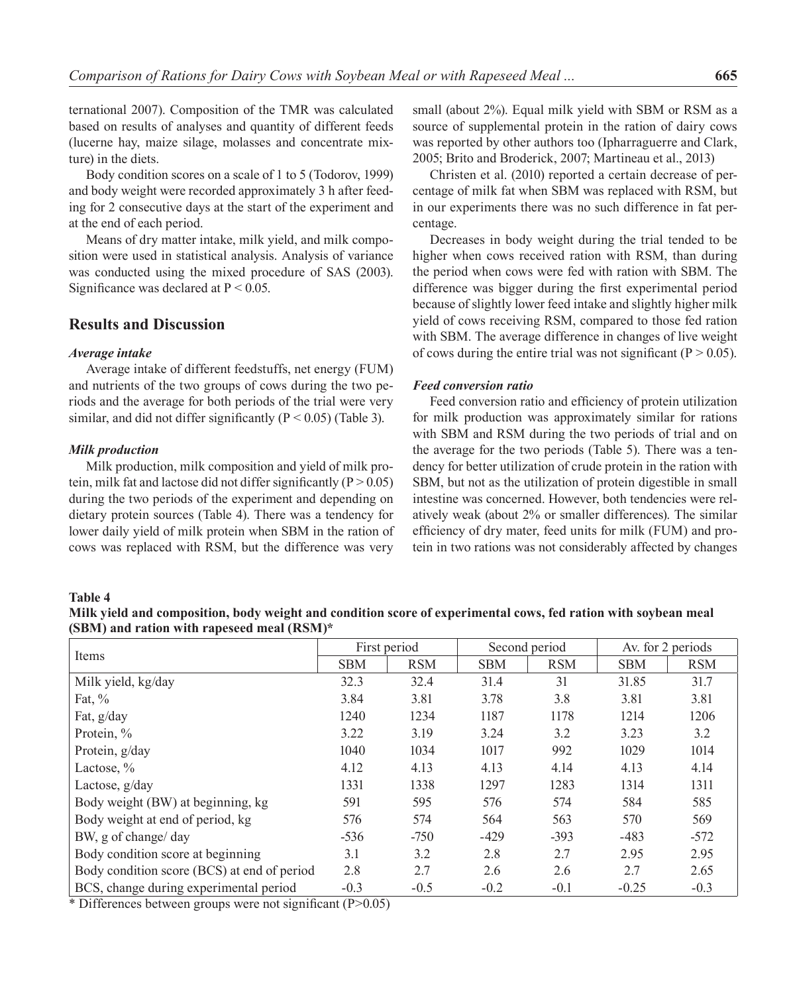ternational 2007). Composition of the TMR was calculated based on results of analyses and quantity of different feeds (lucerne hay, maize silage, molasses and concentrate mixture) in the diets.

Body condition scores on a scale of 1 to 5 (Todorov, 1999) and body weight were recorded approximately 3 h after feeding for 2 consecutive days at the start of the experiment and at the end of each period.

Means of dry matter intake, milk yield, and milk composition were used in statistical analysis. Analysis of variance was conducted using the mixed procedure of SAS (2003). Significance was declared at  $P < 0.05$ .

# **Results and Discussion**

### *Average intake*

Average intake of different feedstuffs, net energy (FUM) and nutrients of the two groups of cows during the two periods and the average for both periods of the trial were very similar, and did not differ significantly ( $P < 0.05$ ) (Table 3).

### *Milk production*

Milk production, milk composition and yield of milk protein, milk fat and lactose did not differ significantly  $(P > 0.05)$ during the two periods of the experiment and depending on dietary protein sources (Table 4). There was а tendency for lower daily yield of milk protein when SBM in the ration of cows was replaced with RSM, but the difference was very

small (about 2%). Equal milk yield with SBM or RSM as a source of supplemental protein in the ration of dairy cows was reported by other authors too (Ipharraguerre and Clark, 2005; Brito and Broderick, 2007; Martineau et al., 2013)

Christen et al. (2010) reported a certain decrease of percentage of milk fat when SBM was replaced with RSM, but in our experiments there was no such difference in fat percentage.

Decreases in body weight during the trial tended to be higher when cows received ration with RSM, than during the period when cows were fed with ration with SBM. The difference was bigger during the first experimental period because of slightly lower feed intake and slightly higher milk yield of cows receiving RSM, compared to those fed ration with SBM. The average difference in changes of live weight of cows during the entire trial was not significant ( $P > 0.05$ ).

### *Feed conversion ratio*

Feed conversion ratio and efficiency of protein utilization for milk production was approximately similar for rations with SBM and RSM during the two periods of trial and on the average for the two periods (Table 5). There was a tendency for better utilization of crude protein in the ration with SBM, but not as the utilization of protein digestible in small intestine was concerned. However, both tendencies were relatively weak (about 2% or smaller differences). The similar efficiency of dry mater, feed units for milk (FUM) and protein in two rations was not considerably affected by changes

#### **Table 4**

**Milk yield and composition, body weight and condition score of experimental cows, fed ration with soybean meal (SBM) and ration with rapeseed meal (RSM)\***

| Items                                       |            | First period |            | Second period | Av. for 2 periods |            |
|---------------------------------------------|------------|--------------|------------|---------------|-------------------|------------|
|                                             | <b>SBM</b> | <b>RSM</b>   | <b>SBM</b> | <b>RSM</b>    | <b>SBM</b>        | <b>RSM</b> |
| Milk yield, kg/day                          | 32.3       | 32.4         | 31.4       | 31            | 31.85             | 31.7       |
| Fat, $\%$                                   | 3.84       | 3.81         | 3.78       | 3.8           | 3.81              | 3.81       |
| Fat, g/day                                  | 1240       | 1234         | 1187       | 1178          | 1214              | 1206       |
| Protein, %                                  | 3.22       | 3.19         | 3.24       | 3.2           | 3.23              | 3.2        |
| Protein, g/day                              | 1040       | 1034         | 1017       | 992           | 1029              | 1014       |
| Lactose, $\%$                               | 4.12       | 4.13         | 4.13       | 4.14          | 4.13              | 4.14       |
| Lactose, g/day                              | 1331       | 1338         | 1297       | 1283          | 1314              | 1311       |
| Body weight (BW) at beginning, kg           | 591        | 595          | 576        | 574           | 584               | 585        |
| Body weight at end of period, kg            | 576        | 574          | 564        | 563           | 570               | 569        |
| BW, g of change/day                         | $-536$     | $-750$       | $-429$     | $-393$        | $-483$            | $-572$     |
| Body condition score at beginning           | 3.1        | 3.2          | 2.8        | 2.7           | 2.95              | 2.95       |
| Body condition score (BCS) at end of period | 2.8        | 2.7          | 2.6        | 2.6           | 2.7               | 2.65       |
| BCS, change during experimental period<br>. | $-0.3$     | $-0.5$       | $-0.2$     | $-0.1$        | $-0.25$           | $-0.3$     |

\* Differences between groups were not significant (P>0.05)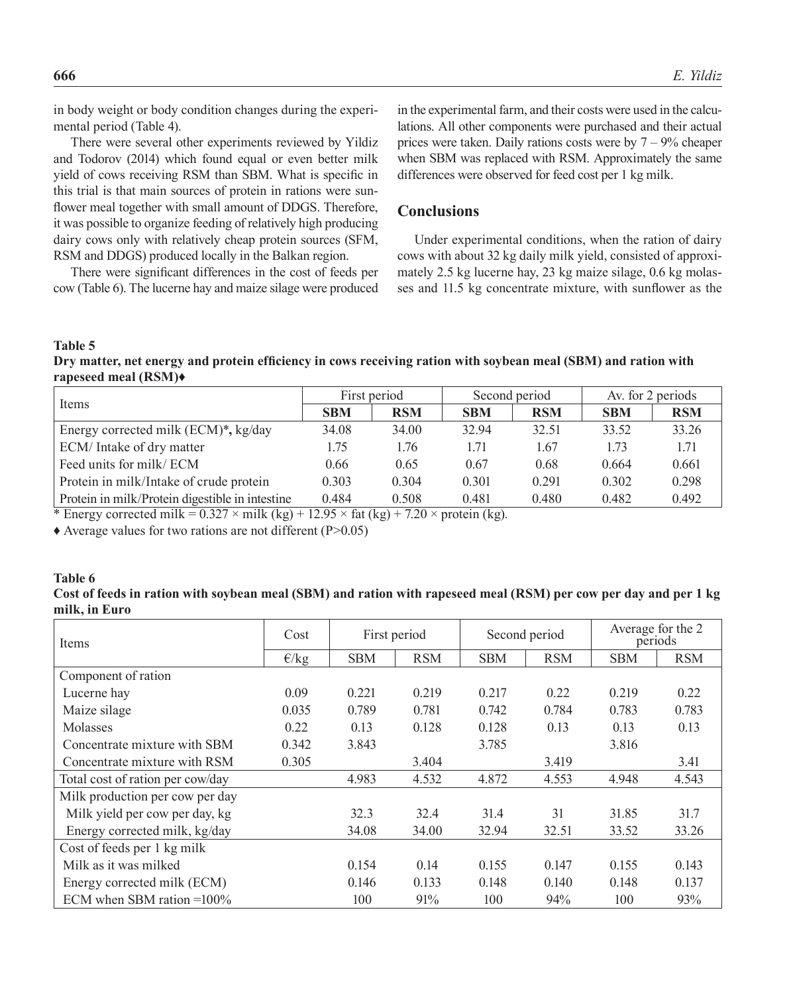in body weight or body condition changes during the experimental period (Table 4).

There were several other experiments reviewed by Yildiz and Todorov (2014) which found equal or even better milk yield of cows receiving RSM than SBM. What is specific in this trial is that main sources of protein in rations were sunflower meal together with small amount of DDGS. Therefore, it was possible to organize feeding of relatively high producing dairy cows only with relatively cheap protein sources (SFM, RSM and DDGS) produced locally in the Balkan region.

There were significant differences in the cost of feeds per cow (Table 6). The lucerne hay and maize silage were produced in the experimental farm, and their costs were used in the calculations. All other components were purchased and their actual prices were taken. Daily rations costs were by  $7 - 9\%$  cheaper when SBM was replaced with RSM. Approximately the same differences were observed for feed cost per 1 kg milk.

# **Conclusions**

Under experimental conditions, when the ration of dairy cows with about 32 kg daily milk yield, consisted of approximately 2.5 kg lucerne hay, 23 kg maize silage, 0.6 kg molasses and 11.5 kg concentrate mixture, with sunflower as the

**Table 5** 

**Dry matter, net energy and protein efficiency in cows receiving ration with soybean meal (SBM) and ration with rapeseed meal (RSM)♦**

|                                                 |            | First period | Second period |            | Av. for 2 periods |            |
|-------------------------------------------------|------------|--------------|---------------|------------|-------------------|------------|
| Items                                           | <b>SBM</b> | <b>RSM</b>   | <b>SBM</b>    | <b>RSM</b> | <b>SBM</b>        | <b>RSM</b> |
| Energy corrected milk (ECM)*, kg/day            | 34.08      | 34.00        | 32.94         | 32.51      | 33.52             | 33.26      |
| ECM/Intake of dry matter                        | 1.75       | 1.76         | 1.71          | 1.67       | 1.73              | 1.71       |
| Feed units for milk/ECM                         | 0.66       | 0.65         | 0.67          | 0.68       | 0.664             | 0.661      |
| Protein in milk/Intake of crude protein         | 0.303      | 0.304        | 0.301         | 0.291      | 0.302             | 0.298      |
| Protein in milk/Protein digestible in intestine | 0.484      | 0.508        | 0.481         | 0.480      | 0.482             | 0.492      |

\* Energy corrected milk =  $0.327 \times$  milk (kg) +  $12.95 \times$  fat (kg) + 7.20  $\times$  protein (kg).

 $\triangle$  Average values for two rations are not different (P>0.05)

### **Table 6 Cost of feeds in ration with soybean meal (SBM) and ration with rapeseed meal (RSM) per cow per day and per 1 kg milk, in Euro**

| Items                            | Cost           | First period |            | Second period |            | Average for the 2<br>periods |            |
|----------------------------------|----------------|--------------|------------|---------------|------------|------------------------------|------------|
|                                  | $\epsilon$ /kg | <b>SBM</b>   | <b>RSM</b> | <b>SBM</b>    | <b>RSM</b> | <b>SBM</b>                   | <b>RSM</b> |
| Component of ration              |                |              |            |               |            |                              |            |
| Lucerne hay                      | 0.09           | 0.221        | 0.219      | 0.217         | 0.22       | 0.219                        | 0.22       |
| Maize silage                     | 0.035          | 0.789        | 0.781      | 0.742         | 0.784      | 0.783                        | 0.783      |
| Molasses                         | 0.22           | 0.13         | 0.128      | 0.128         | 0.13       | 0.13                         | 0.13       |
| Concentrate mixture with SBM     | 0.342          | 3.843        |            | 3.785         |            | 3.816                        |            |
| Concentrate mixture with RSM     | 0.305          |              | 3.404      |               | 3.419      |                              | 3.41       |
| Total cost of ration per cow/day |                | 4.983        | 4.532      | 4.872         | 4.553      | 4.948                        | 4.543      |
| Milk production per cow per day  |                |              |            |               |            |                              |            |
| Milk yield per cow per day, kg   |                | 32.3         | 32.4       | 31.4          | 31         | 31.85                        | 31.7       |
| Energy corrected milk, kg/day    |                | 34.08        | 34.00      | 32.94         | 32.51      | 33.52                        | 33.26      |
| Cost of feeds per 1 kg milk      |                |              |            |               |            |                              |            |
| Milk as it was milked            |                | 0.154        | 0.14       | 0.155         | 0.147      | 0.155                        | 0.143      |
| Energy corrected milk (ECM)      |                | 0.146        | 0.133      | 0.148         | 0.140      | 0.148                        | 0.137      |
| ECM when SBM ration $=100\%$     |                | 100          | 91%        | 100           | 94%        | 100                          | 93%        |